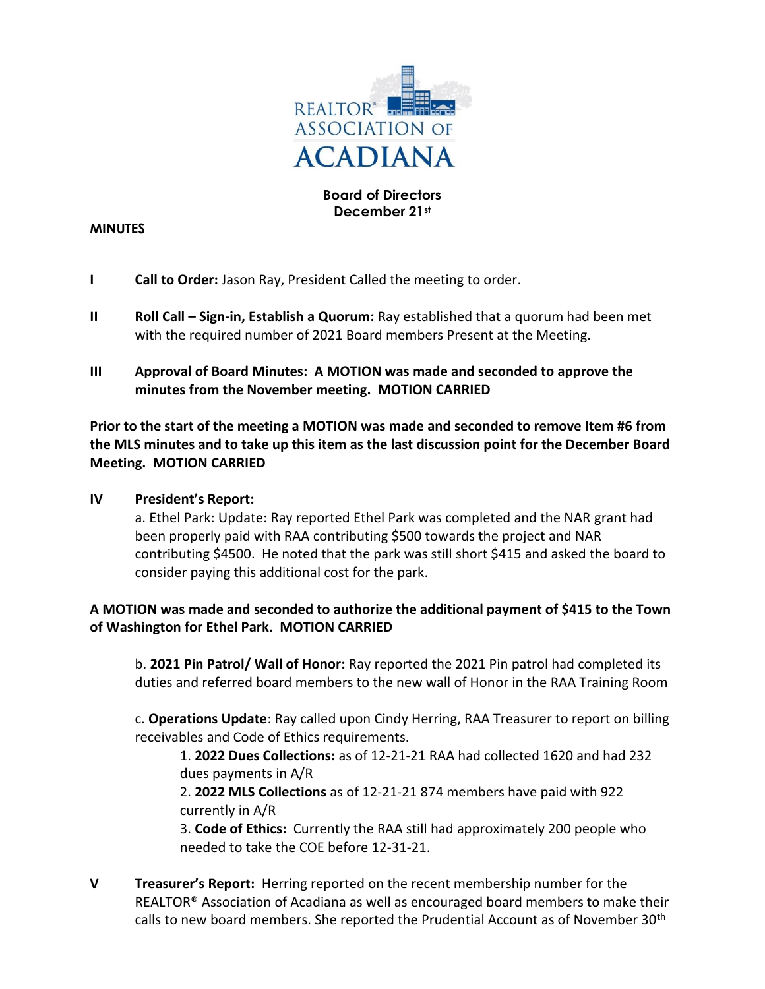

## **Board of Directors December 21st**

#### **MINUTES**

- **I Call to Order:** Jason Ray, President Called the meeting to order.
- **II Roll Call Sign-in, Establish a Quorum:** Ray established that a quorum had been met with the required number of 2021 Board members Present at the Meeting.
- **III Approval of Board Minutes: A MOTION was made and seconded to approve the minutes from the November meeting. MOTION CARRIED**

**Prior to the start of the meeting a MOTION was made and seconded to remove Item #6 from the MLS minutes and to take up this item as the last discussion point for the December Board Meeting. MOTION CARRIED**

#### **IV President's Report:**

a. Ethel Park: Update: Ray reported Ethel Park was completed and the NAR grant had been properly paid with RAA contributing \$500 towards the project and NAR contributing \$4500. He noted that the park was still short \$415 and asked the board to consider paying this additional cost for the park.

## **A MOTION was made and seconded to authorize the additional payment of \$415 to the Town of Washington for Ethel Park. MOTION CARRIED**

b. **2021 Pin Patrol/ Wall of Honor:** Ray reported the 2021 Pin patrol had completed its duties and referred board members to the new wall of Honor in the RAA Training Room

c. **Operations Update**: Ray called upon Cindy Herring, RAA Treasurer to report on billing receivables and Code of Ethics requirements.

1. **2022 Dues Collections:** as of 12-21-21 RAA had collected 1620 and had 232 dues payments in A/R

2. **2022 MLS Collections** as of 12-21-21 874 members have paid with 922 currently in A/R

3. **Code of Ethics:** Currently the RAA still had approximately 200 people who needed to take the COE before 12-31-21.

**V Treasurer's Report:** Herring reported on the recent membership number for the REALTOR® Association of Acadiana as well as encouraged board members to make their calls to new board members. She reported the Prudential Account as of November 30<sup>th</sup>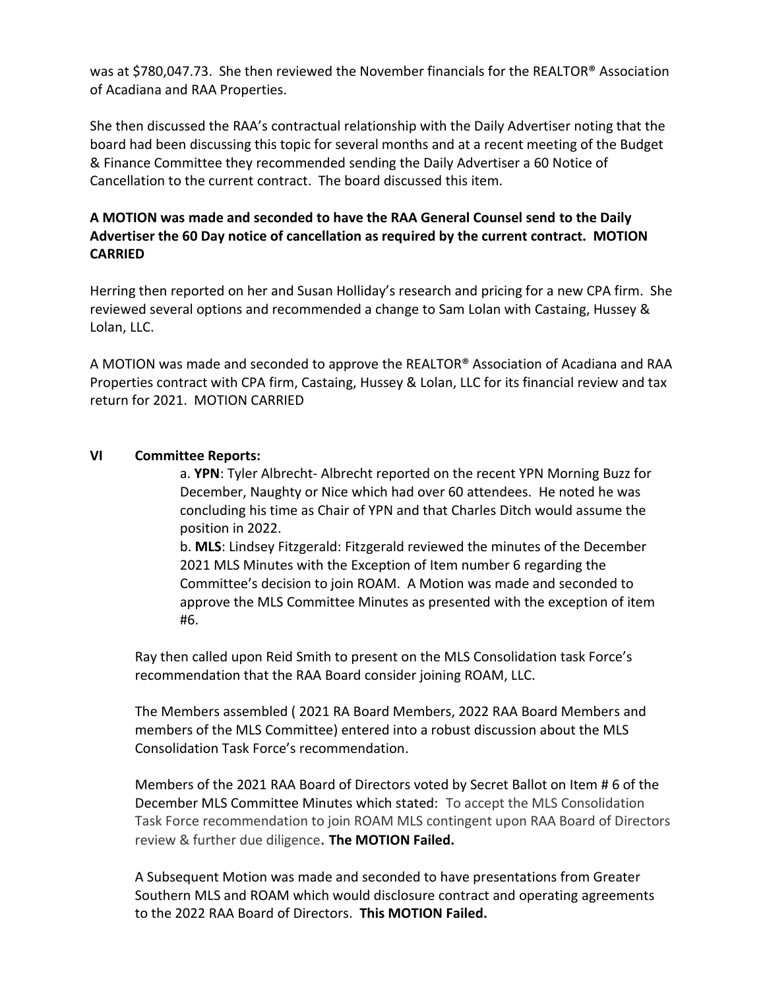was at \$780,047.73. She then reviewed the November financials for the REALTOR® Association of Acadiana and RAA Properties.

She then discussed the RAA's contractual relationship with the Daily Advertiser noting that the board had been discussing this topic for several months and at a recent meeting of the Budget & Finance Committee they recommended sending the Daily Advertiser a 60 Notice of Cancellation to the current contract. The board discussed this item.

# **A MOTION was made and seconded to have the RAA General Counsel send to the Daily Advertiser the 60 Day notice of cancellation as required by the current contract. MOTION CARRIED**

Herring then reported on her and Susan Holliday's research and pricing for a new CPA firm. She reviewed several options and recommended a change to Sam Lolan with Castaing, Hussey & Lolan, LLC.

A MOTION was made and seconded to approve the REALTOR® Association of Acadiana and RAA Properties contract with CPA firm, Castaing, Hussey & Lolan, LLC for its financial review and tax return for 2021. MOTION CARRIED

## **VI Committee Reports:**

a. **YPN**: Tyler Albrecht- Albrecht reported on the recent YPN Morning Buzz for December, Naughty or Nice which had over 60 attendees. He noted he was concluding his time as Chair of YPN and that Charles Ditch would assume the position in 2022.

b. **MLS**: Lindsey Fitzgerald: Fitzgerald reviewed the minutes of the December 2021 MLS Minutes with the Exception of Item number 6 regarding the Committee's decision to join ROAM. A Motion was made and seconded to approve the MLS Committee Minutes as presented with the exception of item #6.

Ray then called upon Reid Smith to present on the MLS Consolidation task Force's recommendation that the RAA Board consider joining ROAM, LLC.

The Members assembled ( 2021 RA Board Members, 2022 RAA Board Members and members of the MLS Committee) entered into a robust discussion about the MLS Consolidation Task Force's recommendation.

Members of the 2021 RAA Board of Directors voted by Secret Ballot on Item # 6 of the December MLS Committee Minutes which stated: To accept the MLS Consolidation Task Force recommendation to join ROAM MLS contingent upon RAA Board of Directors review & further due diligence**. The MOTION Failed.**

A Subsequent Motion was made and seconded to have presentations from Greater Southern MLS and ROAM which would disclosure contract and operating agreements to the 2022 RAA Board of Directors. **This MOTION Failed.**